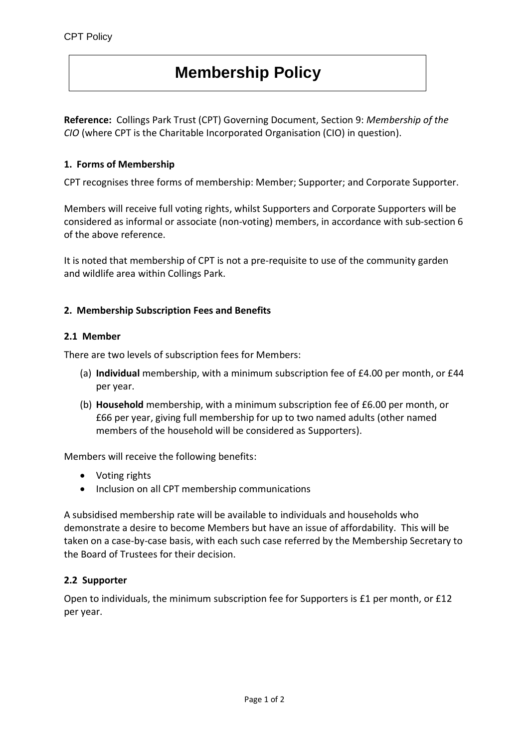# **Membership Policy**

**Reference:** Collings Park Trust (CPT) Governing Document, Section 9: *Membership of the CIO* (where CPT is the Charitable Incorporated Organisation (CIO) in question).

## **1. Forms of Membership**

CPT recognises three forms of membership: Member; Supporter; and Corporate Supporter.

Members will receive full voting rights, whilst Supporters and Corporate Supporters will be considered as informal or associate (non-voting) members, in accordance with sub-section 6 of the above reference.

It is noted that membership of CPT is not a pre-requisite to use of the community garden and wildlife area within Collings Park.

## **2. Membership Subscription Fees and Benefits**

## **2.1 Member**

There are two levels of subscription fees for Members:

- (a) **Individual** membership, with a minimum subscription fee of £4.00 per month, or £44 per year.
- (b) **Household** membership, with a minimum subscription fee of £6.00 per month, or £66 per year, giving full membership for up to two named adults (other named members of the household will be considered as Supporters).

Members will receive the following benefits:

- Voting rights
- Inclusion on all CPT membership communications

A subsidised membership rate will be available to individuals and households who demonstrate a desire to become Members but have an issue of affordability. This will be taken on a case-by-case basis, with each such case referred by the Membership Secretary to the Board of Trustees for their decision.

## **2.2 Supporter**

Open to individuals, the minimum subscription fee for Supporters is £1 per month, or £12 per year.